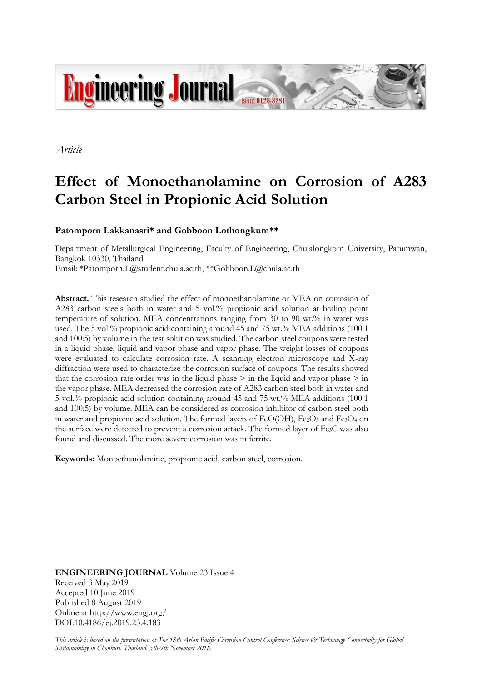

*Article*

# **Effect of Monoethanolamine on Corrosion of A283 Carbon Steel in Propionic Acid Solution**

## **Patomporn Lakkanasri\* and Gobboon Lothongkum\*\***

Department of Metallurgical Engineering, Faculty of Engineering, Chulalongkorn University, Patumwan, Bangkok 10330, Thailand Email: [\\*Patomporn.L@student.chula.ac.th,](mailto:Patomporn.L@student.chula.ac.th) [\\*\\*Gobboon.L@chula.ac.th](mailto:**Gobboon.L@chula.ac.th)

**Abstract.** This research studied the effect of monoethanolamine or MEA on corrosion of A283 carbon steels both in water and 5 vol.% propionic acid solution at boiling point temperature of solution. MEA concentrations ranging from 30 to 90 wt.% in water was used. The 5 vol.% propionic acid containing around 45 and 75 wt.% MEA additions (100:1 and 100:5) by volume in the test solution was studied. The carbon steel coupons were tested in a liquid phase, liquid and vapor phase and vapor phase. The weight losses of coupons were evaluated to calculate corrosion rate. A scanning electron microscope and X-ray diffraction were used to characterize the corrosion surface of coupons. The results showed that the corrosion rate order was in the liquid phase  $\geq$  in the liquid and vapor phase  $\geq$  in the vapor phase. MEA decreased the corrosion rate of A283 carbon steel both in water and 5 vol.% propionic acid solution containing around 45 and 75 wt.% MEA additions (100:1 and 100:5) by volume. MEA can be considered as corrosion inhibitor of carbon steel both in water and propionic acid solution. The formed layers of FeO(OH), Fe2O3 and Fe3O4 on the surface were detected to prevent a corrosion attack. The formed layer of Fe3C was also found and discussed. The more severe corrosion was in ferrite.

**Keywords:** Monoethanolamine, propionic acid, carbon steel, corrosion.

**ENGINEERING JOURNAL** Volume 23 Issue 4 Received 3 May 2019 Accepted 10 June 2019 Published 8 August 2019 Online at http://www.engj.org/ DOI:10.4186/ej.2019.23.4.183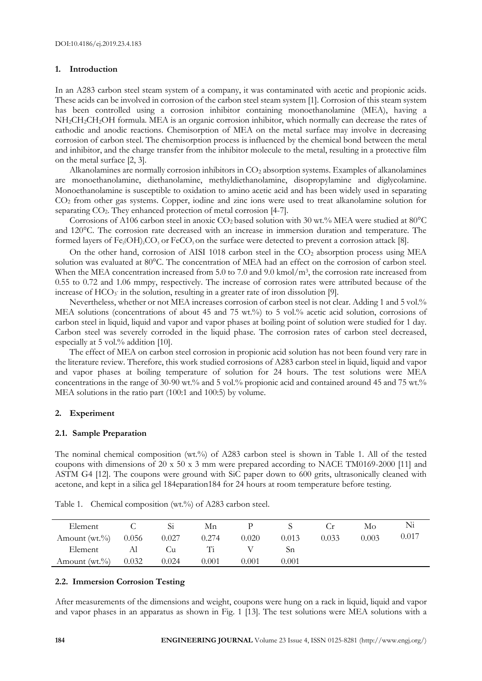#### **1. Introduction**

In an A283 carbon steel steam system of a company, it was contaminated with acetic and propionic acids. These acids can be involved in corrosion of the carbon steel steam system [1]. Corrosion of this steam system has been controlled using a corrosion inhibitor containing monoethanolamine (MEA), having a NH<sub>2</sub>CH<sub>2</sub>CH<sub>2</sub>OH formula. MEA is an organic corrosion inhibitor, which normally can decrease the rates of cathodic and anodic reactions. Chemisorption of MEA on the metal surface may involve in decreasing corrosion of carbon steel. The chemisorption process is influenced by the chemical bond between the metal and inhibitor, and the charge transfer from the inhibitor molecule to the metal, resulting in a protective film on the metal surface [2, 3].

Alkanolamines are normally corrosion inhibitors in  $CO<sub>2</sub>$  absorption systems. Examples of alkanolamines are monoethanolamine, diethanolamine, methyldiethanolamine, disopropylamine and diglycolamine. Monoethanolamine is susceptible to oxidation to amino acetic acid and has been widely used in separating CO<sup>2</sup> from other gas systems. Copper, iodine and zinc ions were used to treat alkanolamine solution for separating CO<sub>2</sub>. They enhanced protection of metal corrosion [4-7].

Corrosions of A106 carbon steel in anoxic  $CO<sub>2</sub>$  based solution with 30 wt.% MEA were studied at 80°C and 120°C. The corrosion rate decreased with an increase in immersion duration and temperature. The formed layers of Fe<sub>2</sub>(OH)<sub>2</sub>CO<sub>3</sub> or FeCO<sub>3</sub> on the surface were detected to prevent a corrosion attack [8].

On the other hand, corrosion of AISI 1018 carbon steel in the  $CO<sub>2</sub>$  absorption process using MEA solution was evaluated at 80°C. The concentration of MEA had an effect on the corrosion of carbon steel. When the MEA concentration increased from 5.0 to 7.0 and 9.0 kmol/m<sup>3</sup>, the corrosion rate increased from 0.55 to 0.72 and 1.06 mmpy, respectively. The increase of corrosion rates were attributed because of the increase of  $HCO<sub>3</sub>$  in the solution, resulting in a greater rate of iron dissolution [9].

Nevertheless, whether or not MEA increases corrosion of carbon steel is not clear. Adding 1 and 5 vol.% MEA solutions (concentrations of about 45 and 75 wt.%) to 5 vol.% acetic acid solution, corrosions of carbon steel in liquid, liquid and vapor and vapor phases at boiling point of solution were studied for 1 day. Carbon steel was severely corroded in the liquid phase. The corrosion rates of carbon steel decreased, especially at 5 vol.% addition [10].

The effect of MEA on carbon steel corrosion in propionic acid solution has not been found very rare in the literature review. Therefore, this work studied corrosions of A283 carbon steel in liquid, liquid and vapor and vapor phases at boiling temperature of solution for 24 hours. The test solutions were MEA concentrations in the range of 30-90 wt.% and 5 vol.% propionic acid and contained around 45 and 75 wt.% MEA solutions in the ratio part (100:1 and 100:5) by volume.

## **2. Experiment**

#### **2.1. Sample Preparation**

The nominal chemical composition (wt.%) of A283 carbon steel is shown in Table 1. All of the tested coupons with dimensions of 20 x 50 x 3 mm were prepared according to NACE TM0169-2000 [11] and ASTM G4 [12]. The coupons were ground with SiC paper down to 600 grits, ultrasonically cleaned with acetone, and kept in a silica gel 184eparation184 for 24 hours at room temperature before testing.

| Element                 |       |       | Mn    |       |       |       | Mo    | Ni    |
|-------------------------|-------|-------|-------|-------|-------|-------|-------|-------|
| Amount (wt.%) $0.056$   |       | 0.027 | 0.274 | 0.020 | 0.013 | 0.033 | 0.003 | 0.017 |
| Element                 | Al    | ∪u    | Ti    |       | Sп    |       |       |       |
| Amount $(wt.^{9}/_{0})$ | 0.032 | 0.024 | 0.001 | 0.001 | 0.001 |       |       |       |

Table 1. Chemical composition (wt.%) of A283 carbon steel.

## **2.2. Immersion Corrosion Testing**

After measurements of the dimensions and weight, coupons were hung on a rack in liquid, liquid and vapor and vapor phases in an apparatus as shown in Fig. 1 [13]. The test solutions were MEA solutions with a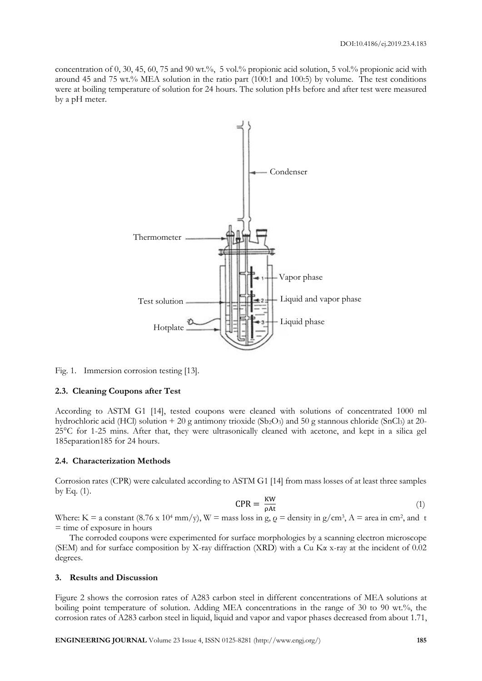concentration of 0, 30, 45, 60, 75 and 90 wt.%, 5 vol.% propionic acid solution, 5 vol.% propionic acid with around 45 and 75 wt.% MEA solution in the ratio part (100:1 and 100:5) by volume. The test conditions were at boiling temperature of solution for 24 hours. The solution pHs before and after test were measured by a pH meter.



Fig. 1. Immersion corrosion testing [13].

#### **2.3. Cleaning Coupons after Test**

According to ASTM G1 [14], tested coupons were cleaned with solutions of concentrated 1000 ml hydrochloric acid (HCl) solution + 20 g antimony trioxide (Sb<sub>2</sub>O<sub>3</sub>) and 50 g stannous chloride (SnCl<sub>3</sub>) at 20-25°C for 1-25 mins. After that, they were ultrasonically cleaned with acetone, and kept in a silica gel 185eparation185 for 24 hours.

#### **2.4. Characterization Methods**

Corrosion rates (CPR) were calculated according to ASTM G1 [14] from mass losses of at least three samples by Eq. (1).

$$
CPR = \frac{KW}{\rho At} \tag{1}
$$

Where: K = a constant (8.76 x 10<sup>4</sup> mm/y), W = mass loss in g,  $\rho$  = density in g/cm<sup>3</sup>, A = area in cm<sup>2</sup>, and t = time of exposure in hours

The corroded coupons were experimented for surface morphologies by a scanning electron microscope (SEM) and for surface composition by X-ray diffraction (XRD) with a Cu Kα x-ray at the incident of 0.02 degrees.

### **3. Results and Discussion**

Figure 2 shows the corrosion rates of A283 carbon steel in different concentrations of MEA solutions at boiling point temperature of solution. Adding MEA concentrations in the range of 30 to 90 wt.%, the corrosion rates of A283 carbon steel in liquid, liquid and vapor and vapor phases decreased from about 1.71,

**ENGINEERING JOURNAL** Volume 23 Issue 4, ISSN 0125-8281 (http://www.engj.org/) **185**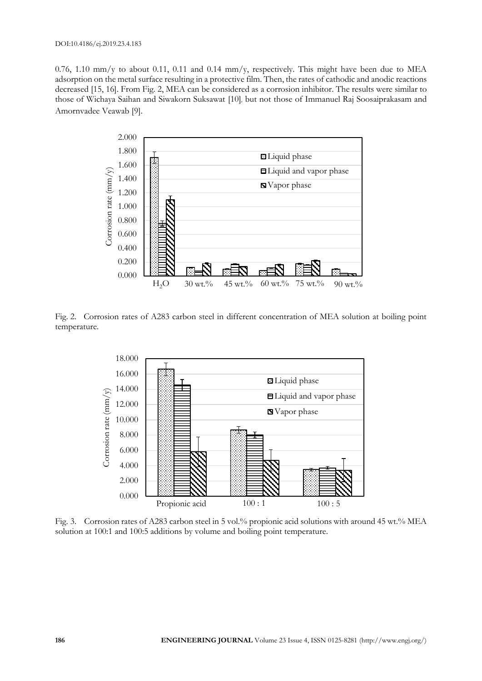0.76, 1.10 mm/y to about 0.11, 0.11 and 0.14 mm/y, respectively. This might have been due to MEA adsorption on the metal surface resulting in a protective film. Then, the rates of cathodic and anodic reactions decreased [15, 16]. From Fig. 2, MEA can be considered as a corrosion inhibitor. The results were similar to those of Wichaya Saihan and Siwakorn Suksawat [10], but not those of Immanuel Raj Soosaiprakasam and Amornvadee Veawab [9].



Fig. 2. Corrosion rates of A283 carbon steel in different concentration of MEA solution at boiling point temperature.



Fig. 3. Corrosion rates of A283 carbon steel in 5 vol.% propionic acid solutions with around 45 wt.% MEA solution at 100:1 and 100:5 additions by volume and boiling point temperature.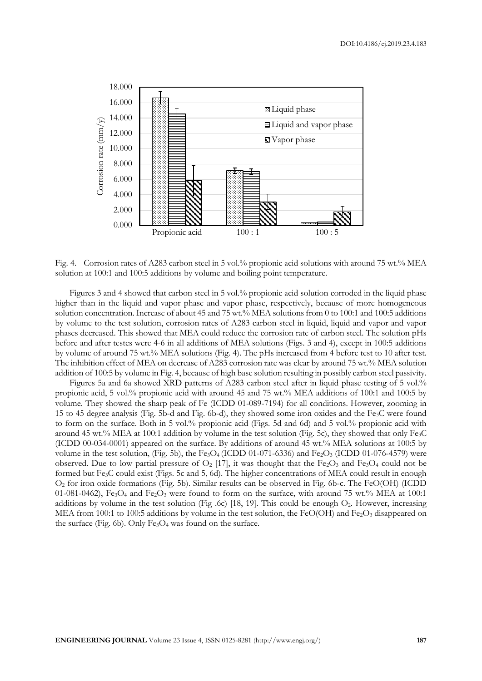

Fig. 4. Corrosion rates of A283 carbon steel in 5 vol.% propionic acid solutions with around 75 wt.% MEA solution at 100:1 and 100:5 additions by volume and boiling point temperature.

Figures 3 and 4 showed that carbon steel in 5 vol.% propionic acid solution corroded in the liquid phase higher than in the liquid and vapor phase and vapor phase, respectively, because of more homogeneous solution concentration. Increase of about 45 and 75 wt.% MEA solutions from 0 to 100:1 and 100:5 additions by volume to the test solution, corrosion rates of A283 carbon steel in liquid, liquid and vapor and vapor phases decreased. This showed that MEA could reduce the corrosion rate of carbon steel. The solution pHs before and after testes were 4-6 in all additions of MEA solutions (Figs. 3 and 4), except in 100:5 additions by volume of around 75 wt.% MEA solutions (Fig. 4). The pHs increased from 4 before test to 10 after test. The inhibition effect of MEA on decrease of A283 corrosion rate was clear by around 75 wt.% MEA solution addition of 100:5 by volume in Fig. 4, because of high base solution resulting in possibly carbon steel passivity.

Figures 5a and 6a showed XRD patterns of A283 carbon steel after in liquid phase testing of 5 vol.% propionic acid, 5 vol.% propionic acid with around 45 and 75 wt.% MEA additions of 100:1 and 100:5 by volume. They showed the sharp peak of Fe (ICDD 01-089-7194) for all conditions. However, zooming in 15 to 45 degree analysis (Fig. 5b-d and Fig. 6b-d), they showed some iron oxides and the Fe3C were found to form on the surface. Both in 5 vol.% propionic acid (Figs. 5d and 6d) and 5 vol.% propionic acid with around 45 wt.% MEA at 100:1 addition by volume in the test solution (Fig. 5c), they showed that only Fe3C (ICDD 00-034-0001) appeared on the surface. By additions of around 45 wt.% MEA solutions at 100:5 by volume in the test solution, (Fig. 5b), the Fe<sub>3</sub>O<sub>4</sub> (ICDD 01-071-6336) and Fe<sub>2</sub>O<sub>3</sub> (ICDD 01-076-4579) were observed. Due to low partial pressure of  $O_2$  [17], it was thought that the Fe<sub>2</sub>O<sub>3</sub> and Fe<sub>3</sub>O<sub>4</sub> could not be formed but Fe3C could exist (Figs. 5c and 5, 6d). The higher concentrations of MEA could result in enough O<sup>2</sup> for iron oxide formations (Fig. 5b). Similar results can be observed in Fig. 6b-c. The FeO(OH) (ICDD 01-081-0462), Fe<sub>3</sub>O<sub>4</sub> and Fe<sub>2</sub>O<sub>3</sub> were found to form on the surface, with around 75 wt.% MEA at 100:1 additions by volume in the test solution (Fig .6c) [18, 19]. This could be enough  $O_2$ . However, increasing MEA from 100:1 to 100:5 additions by volume in the test solution, the FeO(OH) and Fe<sub>2</sub>O<sub>3</sub> disappeared on the surface (Fig. 6b). Only  $Fe<sub>3</sub>O<sub>4</sub>$  was found on the surface.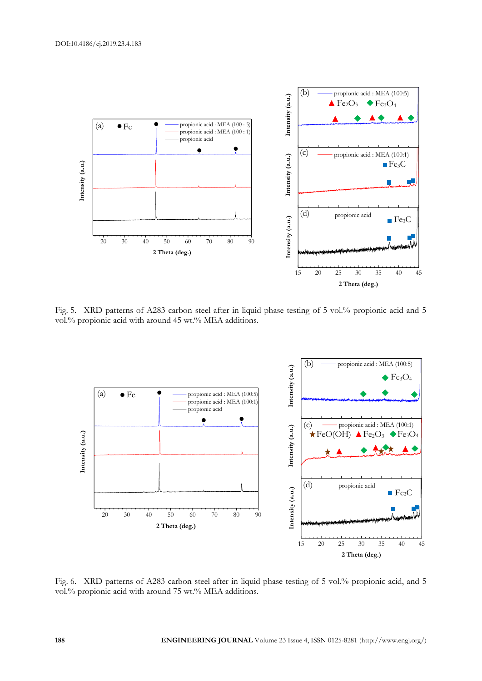

Fig. 5. XRD patterns of A283 carbon steel after in liquid phase testing of 5 vol.% propionic acid and 5 vol.% propionic acid with around 45 wt.% MEA additions.



Fig. 6. XRD patterns of A283 carbon steel after in liquid phase testing of 5 vol.% propionic acid, and 5 vol.% propionic acid with around 75 wt.% MEA additions.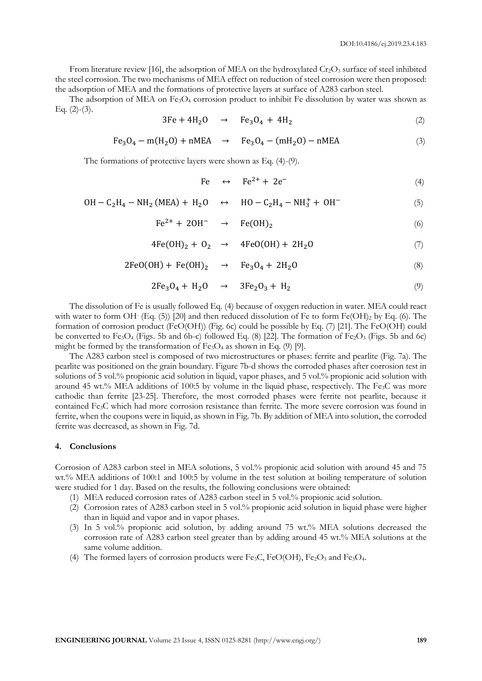From literature review [16], the adsorption of MEA on the hydroxylated  $Cr_2O_3$  surface of steel inhibited the steel corrosion. The two mechanisms of MEA effect on reduction of steel corrosion were then proposed: the adsorption of MEA and the formations of protective layers at surface of A283 carbon steel.

The adsorption of MEA on  $Fe<sub>3</sub>O<sub>4</sub>$  corrosion product to inhibit Fe dissolution by water was shown as Eq.  $(2)-(3)$ .

$$
3Fe + 4H2O \rightarrow Fe3O4 + 4H2
$$
 (2)

$$
Fe_3O_4 - m(H_2O) + nMEA \rightarrow Fe_3O_4 - (mH_2O) - nMEA \tag{3}
$$

The formations of protective layers were shown as Eq. (4)-(9).

$$
Fe \leftrightarrow Fe^{2+} + 2e^-
$$
 (4)

$$
OH - C_2H_4 - NH_2(MEA) + H_2O \quad \leftrightarrow \quad HO - C_2H_4 - NH_3^+ + OH^- \tag{5}
$$

$$
\text{Fe}^{2+} + 2\text{OH}^- \rightarrow \text{Fe}(\text{OH})_2 \tag{6}
$$

$$
4Fe(OH)_2 + O_2 \rightarrow 4FeO(OH) + 2H_2O \tag{7}
$$

$$
2FeO(OH) + Fe(OH)2 \rightarrow Fe3O4 + 2H2O
$$
\n(8)

$$
2Fe3O4 + H2O \rightarrow 3Fe2O3 + H2
$$
 (9)

The dissolution of Fe is usually followed Eq. (4) because of oxygen reduction in water. MEA could react with water to form OH- (Eq. (5)) [20] and then reduced dissolution of Fe to form Fe(OH)<sup>2</sup> by Eq. (6). The formation of corrosion product (FeO(OH)) (Fig. 6c) could be possible by Eq. (7) [21]. The FeO(OH) could be converted to Fe<sub>3</sub>O<sub>4</sub> (Figs. 5b and 6b-c) followed Eq. (8) [22]. The formation of Fe<sub>2</sub>O<sub>3</sub> (Figs. 5b and 6c) might be formed by the transformation of  $Fe<sub>3</sub>O<sub>4</sub>$  as shown in Eq. (9) [9].

The A283 carbon steel is composed of two microstructures or phases: ferrite and pearlite (Fig. 7a). The pearlite was positioned on the grain boundary. Figure 7b-d shows the corroded phases after corrosion test in solutions of 5 vol.% propionic acid solution in liquid, vapor phases, and 5 vol.% propionic acid solution with around 45 wt.% MEA additions of 100:5 by volume in the liquid phase, respectively. The Fe3C was more cathodic than ferrite [23-25]. Therefore, the most corroded phases were ferrite not pearlite, because it contained Fe3C which had more corrosion resistance than ferrite. The more severe corrosion was found in ferrite, when the coupons were in liquid, as shown in Fig. 7b. By addition of MEA into solution, the corroded ferrite was decreased, as shown in Fig. 7d.

#### **4. Conclusions**

Corrosion of A283 carbon steel in MEA solutions, 5 vol.% propionic acid solution with around 45 and 75 wt.% MEA additions of 100:1 and 100:5 by volume in the test solution at boiling temperature of solution were studied for 1 day. Based on the results, the following conclusions were obtained:

- (1) MEA reduced corrosion rates of A283 carbon steel in 5 vol.% propionic acid solution.
- (2) Corrosion rates of A283 carbon steel in 5 vol.% propionic acid solution in liquid phase were higher than in liquid and vapor and in vapor phases.
- (3) In 5 vol.% propionic acid solution, by adding around 75 wt.% MEA solutions decreased the corrosion rate of A283 carbon steel greater than by adding around 45 wt.% MEA solutions at the same volume addition.
- (4) The formed layers of corrosion products were Fe<sub>3</sub>C, FeO(OH), Fe<sub>2</sub>O<sub>3</sub> and Fe<sub>3</sub>O<sub>4</sub>.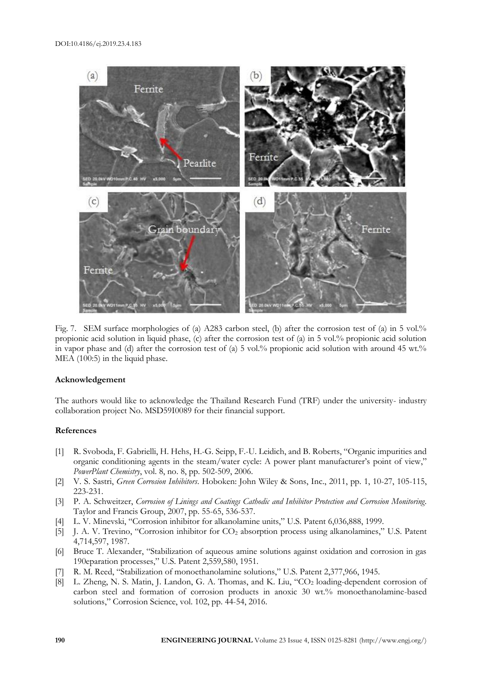

Fig. 7. SEM surface morphologies of (a) A283 carbon steel, (b) after the corrosion test of (a) in 5 vol.% propionic acid solution in liquid phase, (c) after the corrosion test of (a) in 5 vol.% propionic acid solution in vapor phase and (d) after the corrosion test of (a) 5 vol.% propionic acid solution with around 45 wt.% MEA (100:5) in the liquid phase.

## **Acknowledgement**

The authors would like to acknowledge the Thailand Research Fund (TRF) under the university- industry collaboration project No. MSD59I0089 for their financial support.

#### **References**

- [1] R. Svoboda, F. Gabrielli, H. Hehs, H.-G. Seipp, F.-U. Leidich, and B. Roberts, "Organic impurities and organic conditioning agents in the steam/water cycle: A power plant manufacturer's point of view," *PowerPlant Chemistry*, vol. 8, no. 8, pp. 502-509, 2006.
- [2] V. S. Sastri, *Green Corrosion Inhibitors*. Hoboken: John Wiley & Sons, Inc., 2011, pp. 1, 10-27, 105-115, 223-231.
- [3] P. A. Schweitzer, *Corrosion of Linings and Coatings Cathodic and Inhibitor Protection and Corrosion Monitoring*. Taylor and Francis Group, 2007, pp. 55-65, 536-537.
- [4] L. V. Minevski, "Corrosion inhibitor for alkanolamine units," U.S. Patent 6,036,888, 1999.
- [5] J. A. V. Trevino, "Corrosion inhibitor for CO<sub>2</sub> absorption process using alkanolamines," U.S. Patent 4,714,597, 1987.
- [6] Bruce T. Alexander, "Stabilization of aqueous amine solutions against oxidation and corrosion in gas 190eparation processes," U.S. Patent 2,559,580, 1951.
- [7] R. M. Reed, "Stabilization of monoethanolamine solutions," U.S. Patent 2,377,966, 1945.
- [8] L. Zheng, N. S. Matin, J. Landon, G. A. Thomas, and K. Liu, "CO<sub>2</sub> loading-dependent corrosion of carbon steel and formation of corrosion products in anoxic 30 wt.% monoethanolamine-based solutions," Corrosion Science, vol. 102, pp. 44-54, 2016.